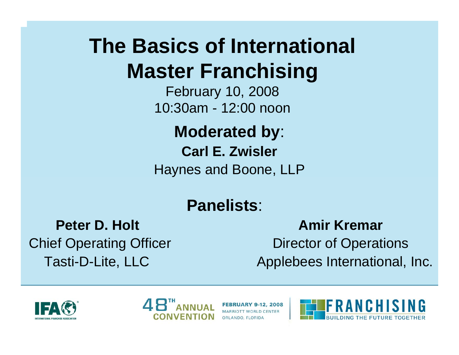# **The Basics of International Master Franchising**

February 10, 2008 10:30am - 12:00 noon

**Moderated by**: **Carl E. Zwisler** Haynes and Boone, LLP

#### **Panelists**:

**Peter D. Holt**Tasti-D-Lite, LLC

 **Amir Kremar**Chief Operating Officer **Director of Operations** Applebees International, Inc.





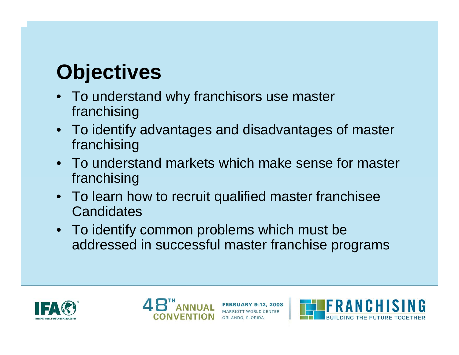# **Objectives**

- To understand why franchisors use master franchising
- To identify advantages and disadvantages of master franchising
- To understand markets which make sense for master franchising
- To learn how to recruit qualified master franchisee **Candidates**
- To identify common problems which must be addressed in successful master franchise programs





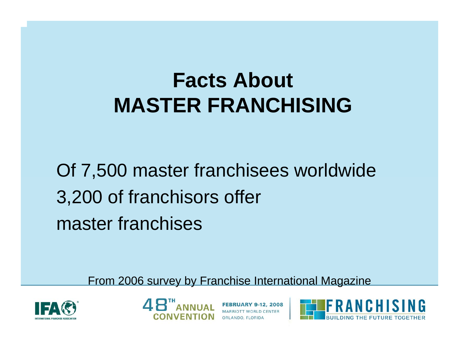# **Facts About MASTER FRANCHISING**

Of 7,500 master franchisees worldwide 3,200 of franchisors offer master franchises

From 2006 survey by Franchise International Magazine





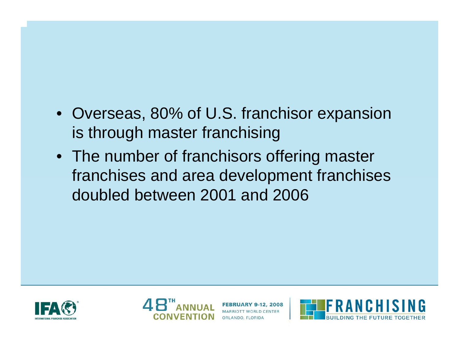#### • Overseas, 80% of U.S. franchisor expansion is through master franchising

• The number of franchisors offering master franchises and area development franchises doubled between 2001 and 2006





Y 9-12, 2008 ORLANDO, FLORIDA

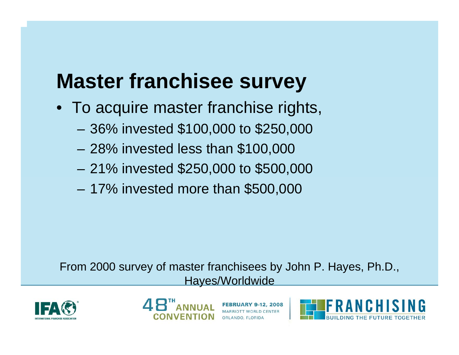# **Master franchisee survey**

- To acquire master franchise rights,
	- 36% invested \$100,000 to \$250,000
	- 28% invested less than \$100,000
	- 21% invested \$250,000 to \$500,000
	- 17% invested more than \$500,000

From 2000 survey of master franchisees by John P. Hay es, Ph.D., Hayes/Worldwide





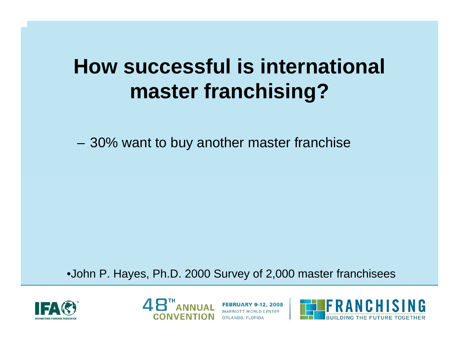## **How successful is international master franchising?**

– 30% want to buy another master franchise

•John P. Hay es, Ph.D. 2000 Survey of 2,000 master franchisees





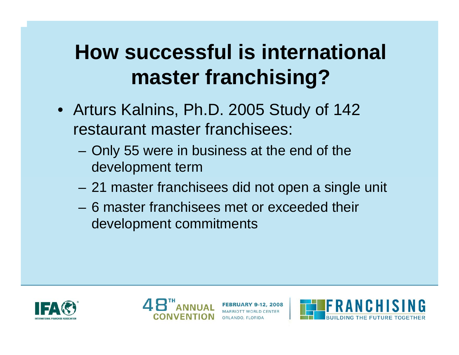# **How successful is international master franchising?**

- Arturs Kalnins, Ph.D. 2005 Study of 142 restaurant master franchisees:
	- Only 55 were in business at the end of the development term
	- 21 master franchisees did not open a single unit
	- –6 master franchisees met or exceeded their development commitments





ORLANDO, FLORIDA

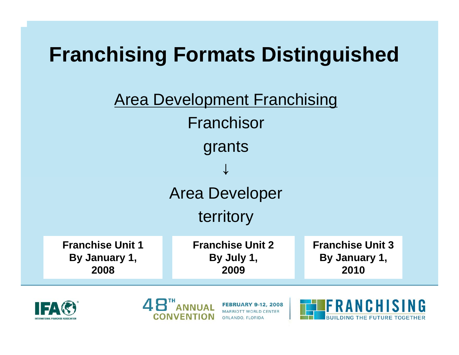







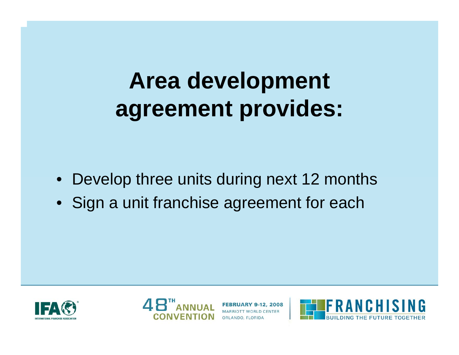# **Area development agreement provides:**

- Develop three units during next 12 months
- Sign a unit franchise agreement for each





Y 9-12, 2008 ORLANDO, FLORIDA

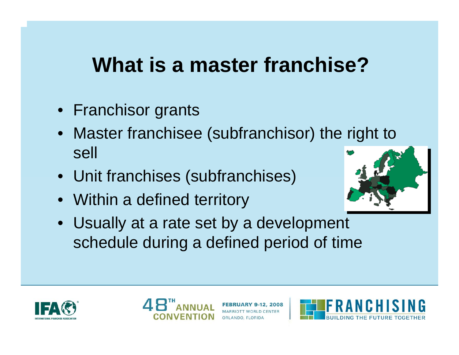## **What is a master franchise?**

- Franchisor grants
- Master franchisee (subfranchisor) the right to sell
- Unit franchises (subfranchises)
- Within a defined territory



• Usually at a rate set by a development schedule during a defined period of time





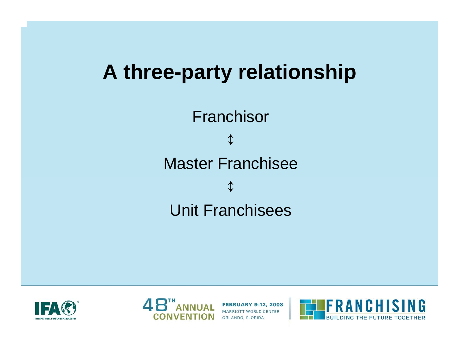## **A three-party relationship**

Franchisor ↕Master Franchisee↕Unit Franchisees





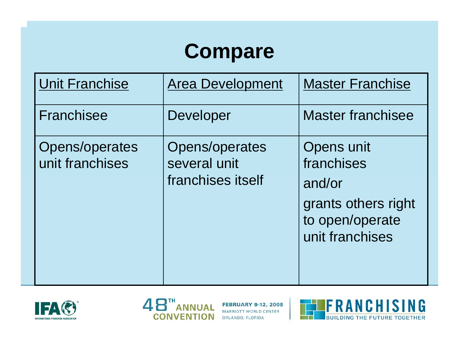# **Compare**

| <b>Unit Franchise</b>             | <b>Area Development</b>                             | <b>Master Franchise</b>                                                                         |
|-----------------------------------|-----------------------------------------------------|-------------------------------------------------------------------------------------------------|
| Franchisee                        | Developer                                           | <b>Master franchisee</b>                                                                        |
| Opens/operates<br>unit franchises | Opens/operates<br>several unit<br>franchises itself | Opens unit<br>franchises<br>and/or<br>grants others right<br>to open/operate<br>unit franchises |





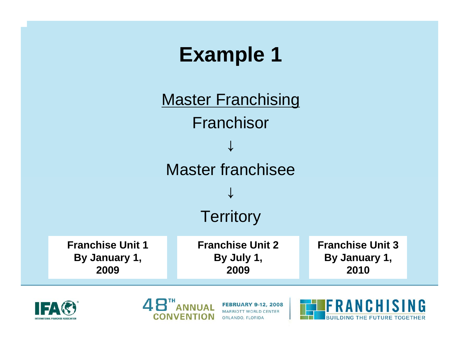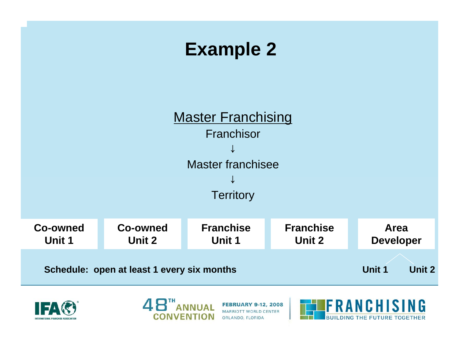#### **Example 2**







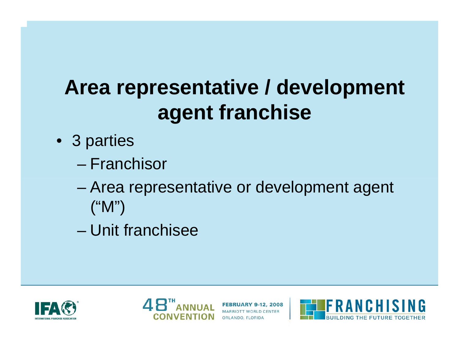# **Area representative / development agent franchise**

- 3 parties
	- –Franchisor
	- and the state of the state Area representative or development agent ("M")
	- –Unit franchisee





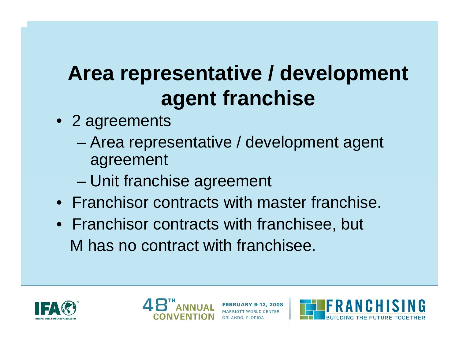# **Area representative / development agent franchise**

- 2 agreements
	- and the state of the state Area representative / development agent agreement
	- –Unit franchise agreement
- •Franchisor contracts with master franchise.
- Franchisor contracts with franchisee, but M has no contract with franchisee.





ORLANDO, FLORIDA

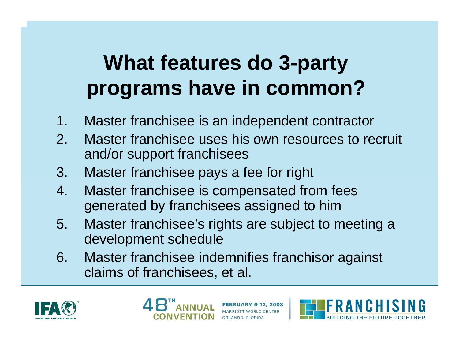# **What features do 3-party programs have in common?**

- 1.Master franchisee is an independent contractor
- 2. Master franchisee uses his own resources to recruit and/or support franchisees
- 3. Master franchisee pays a fee for right
- 4. Master franchisee is compensated from fees generated by franchisees assigned to him
- 5. Master franchisee's rights are subject to meeting a development schedule
- 6. Master franchisee indemnifies franchisor against claims of franchisees, et al.





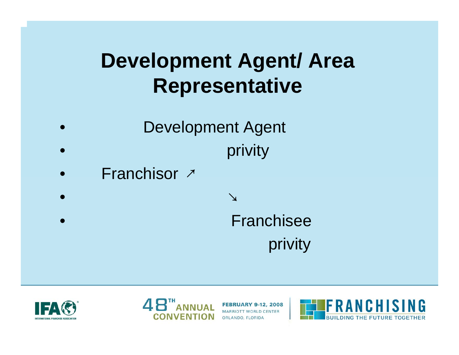## **Development Agent/ Area Representative**

- •Development Agent •privity
- •Franchisor ↗
- •↘
- •Franchisee
	- privity





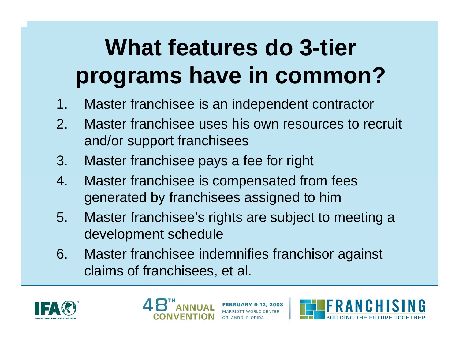# **What features do 3-tier programs have in common?**

- 1.Master franchisee is an independent contractor
- 2. Master franchisee uses his own resources to recruit and/or support franchisees
- 3. Master franchisee pays a fee for right
- 4. Master franchisee is compensated from fees generated by franchisees assigned to him
- 5. Master franchisee's rights are subject to meeting a development schedule
- 6. Master franchisee indemnifies franchisor against claims of franchisees, et al.





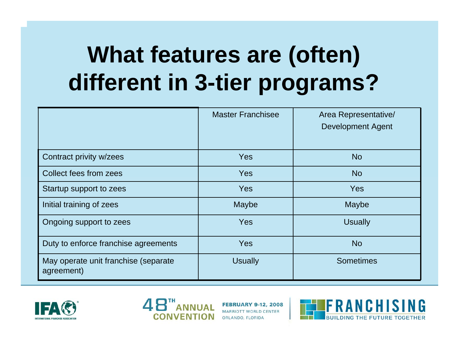# **What features are (often) different in 3-tier programs?**

|                                                    | <b>Master Franchisee</b> | Area Representative/<br><b>Development Agent</b> |
|----------------------------------------------------|--------------------------|--------------------------------------------------|
| Contract privity w/zees                            | <b>Yes</b>               | <b>No</b>                                        |
| Collect fees from zees                             | <b>Yes</b>               | <b>No</b>                                        |
| Startup support to zees                            | <b>Yes</b>               | <b>Yes</b>                                       |
| Initial training of zees                           | Maybe                    | Maybe                                            |
| Ongoing support to zees                            | <b>Yes</b>               | <b>Usually</b>                                   |
| Duty to enforce franchise agreements               | <b>Yes</b>               | <b>No</b>                                        |
| May operate unit franchise (separate<br>agreement) | <b>Usually</b>           | <b>Sometimes</b>                                 |





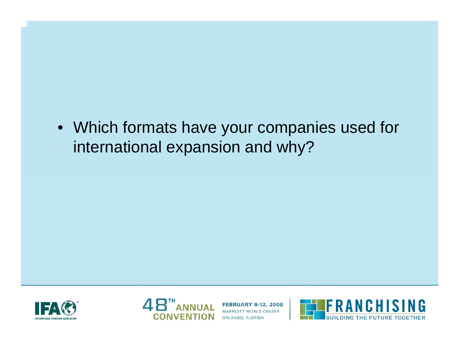#### • Which formats have your companies used for international expansion and why?





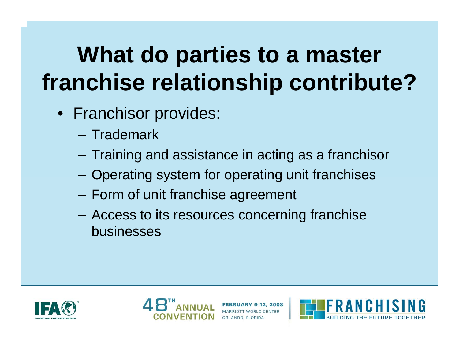# **What do parties to a master franchise relationship contribute?**

- Franchisor provides:
	- Trademark
	- Training and assistance in acting as a franchisor
	- Operating system for operating unit franchises
	- Form of unit franchise agreement
	- Access to its resources concerning franchise businesses





ORLANDO, FLORIDA

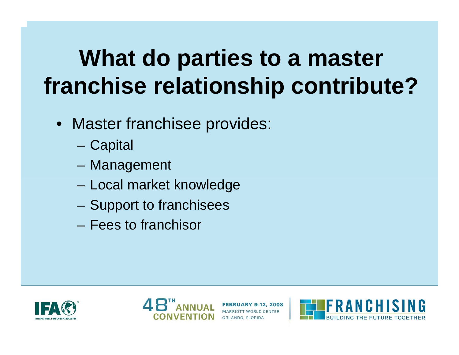# **What do parties to a master franchise relationship contribute?**

- Master franchisee provides:
	- C a pit al
	- Management
	- Local market knowledge
	- Support to franchisees
	- –Fees to franchisor





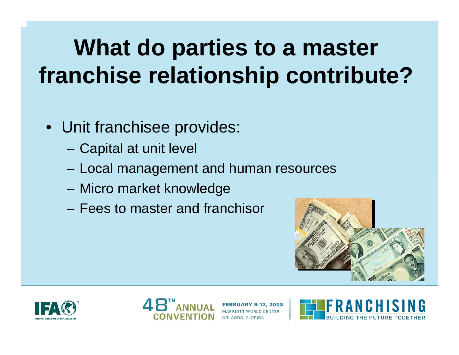# **What do parties to a master franchise relationship contribute?**

- Unit franchisee provides:
	- Capital at unit level
	- Local management and human resources
	- Micro market knowledge
	- –Fees to master and franchisor







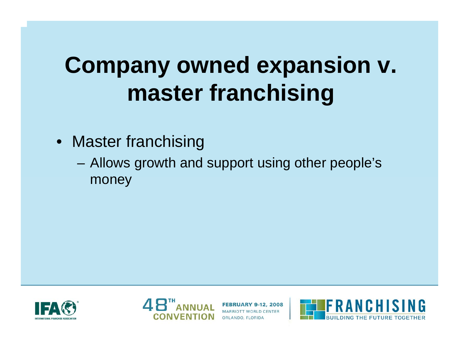# **Company owned expansion v. master franchising**

- Master franchising
	- Allows growth and support using other people's money





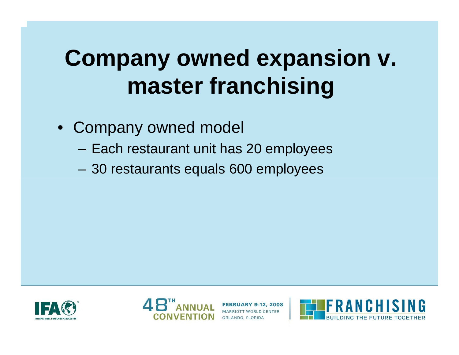# **Company owned expansion v. master franchising**

#### • Company owned model

- Each restaurant unit has 20 employees
- 30 restaurants equals 600 employees





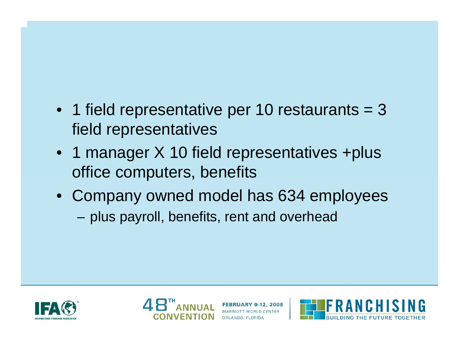#### • 1 field representative per 10 restaurants = 3 field representatives

- 1 manager X 10 field representatives +plus office computers, benefits
- Company owned model has 634 employees –– plus payroll, benefits, rent and overhead





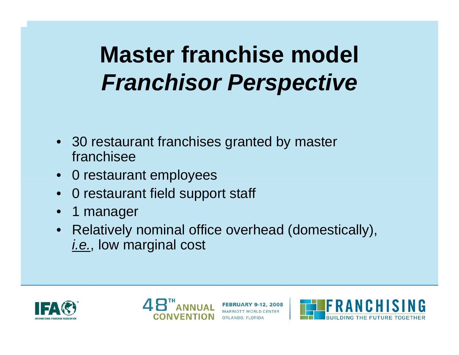# **Master franchise model** *Franchisor Perspective*

- 30 restaurant franchises granted by master franchisee
- 0 restaurant employees
- •0 restaurant field support staff
- •1 manager
- Relatively nominal office overhead (domestically), *i.e.*, low marginal cost





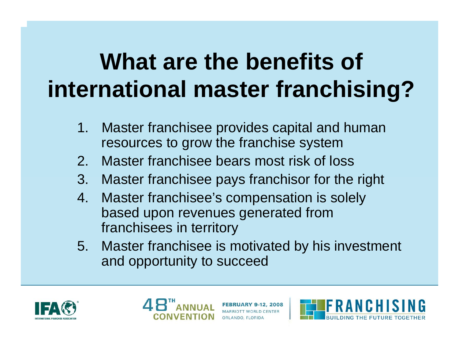# **What are the benefits of international master franchising?**

- 1. Master franchisee provides capital and human resources to grow the franchise system
- 2.Master franchisee bears most risk of loss
- 3. Master franchisee pays franchisor for the right
- 4. Master franchisee's compensation is solely based upon revenues generated from franchisees in territory
- 5. Master franchisee is motivated by his investment and opportunity to succeed





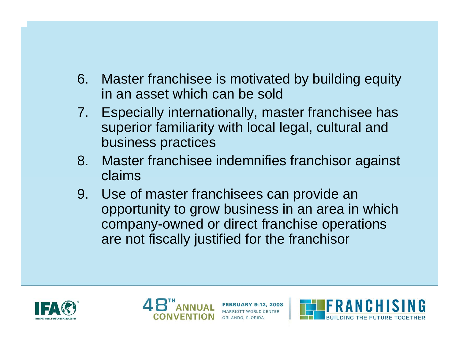- 6. Master franchisee is motivated by building equity in an asset which can be sold
- 7. Especially internationally, master franchisee has superior familiarity with local legal, cultural and business practices
- 8. Master franchisee indemnifies franchisor against claims
- 9. Use of master franchisees can provide an opportunity to grow business in an area in which company-owned or direct franchise operations are not fiscally justified for the franchisor





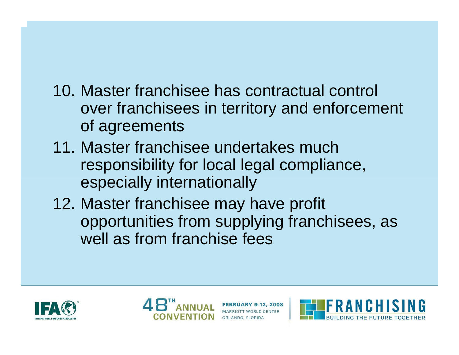#### 10. Master franchisee has contractual control over franchisees in territory and enforcement of agreements

- 11. Master franchisee undertakes much responsibility for local legal compliance, especially internationally
- 12. Master franchisee may have profit opportunities from supplying franchisees, as well as from franchise fees





ORLANDO, FLORIDA

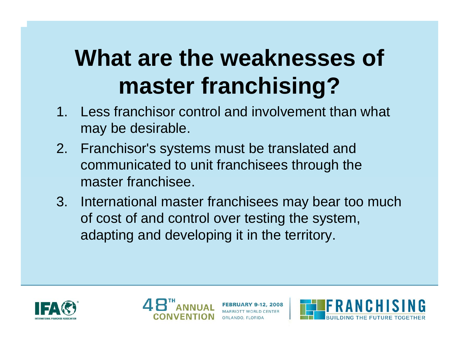# **What are the weaknesses of master franchising?**

- 1. Less franchisor control and involvement than what may be desirable.
- 2. Franchisor's systems must be translated and communicated to unit franchisees through the master franchisee.
- 3. International master franchisees may bear too much of cost of and control over testing the system, adapting and developing it in the territory.





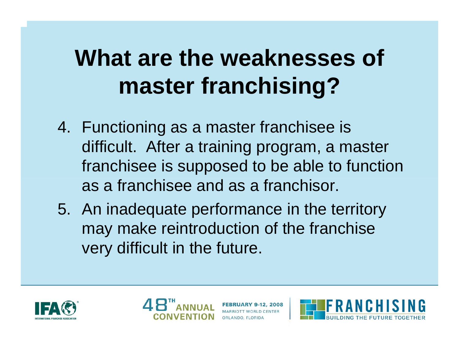# **What are the weaknesses of master franchising?**

- 4. Functioning as a master franchisee is difficult. After a training program, a master franchisee is supposed to be able to function as a franchisee and as a franchisor.
- 5. An inadequate performance in the territory may make reintroduction of the franchise very difficult in the future.





ORLANDO, FLORIDA

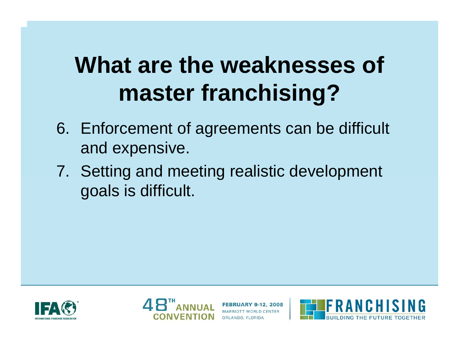# **What are the weaknesses of master franchising?**

- 6. Enforcement of agreements can be difficult and expensive.
- 7. Setting and meeting realistic development goals is difficult.





ORLANDO, FLORIDA

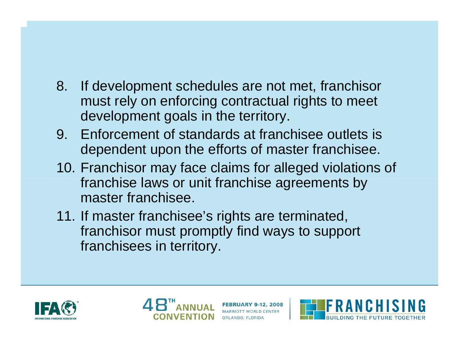#### 8. If development schedules are not met, franchisor must rely on enforcing contractual rights to meet development goals in the territory.

- 9. Enforcement of standards at franchisee outlets is dependent upon the efforts of master franchisee.
- 10. Franchisor may face claims for alleged violations of franchise laws or unit franchise agreements by master franchisee.
- 11. If master franchisee's rights are terminated, franchisor must promptly find ways to support franchisees in territory.





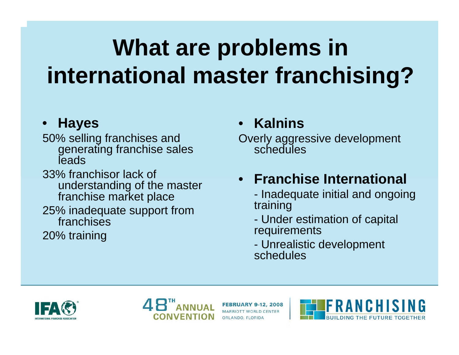# **What are problems in international master franchising?**

#### •**Hayes**

50% selling franchises and generating franchis e sales **leads** 

33% franchisor lack of understanding of the master franchise market place 25% inadequate support from franchises

20% training

#### •• Kalnins

Overly aggressive development schedules

#### • **Franchise International**

- Inadequate initial and ongoing training

- Under estimation of capital requirements
- Unrealistic development schedules





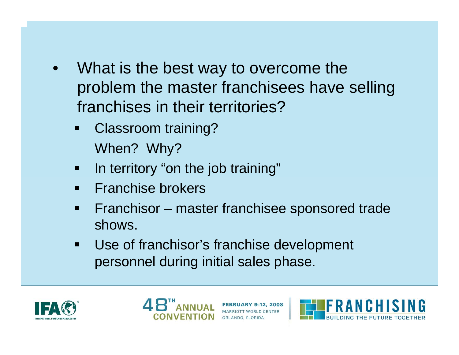- • What is the best way to overcome the problem the master franchisees have selling franchises in their territories?
	- $\blacksquare$  Classroom training? When? Why?
	- $\blacksquare$ In territory "on the job training"
	- $\blacksquare$ Franchise brokers
	- $\blacksquare$ **Fianchisor – master franchisee sponsored trade** shows.
	- $\blacksquare$  Use of franchisor's franchise development personnel during initial sales phase.





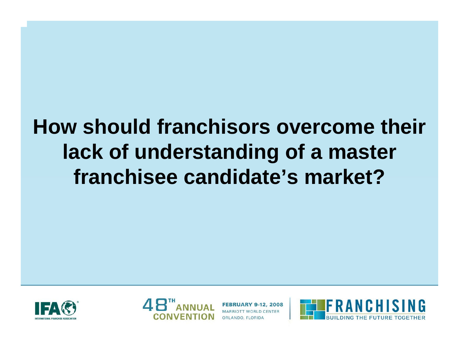## **How should franchisors overcome their lack of understanding of a master franchisee candidate's market?**





Y 9-12, 2008 ORLANDO, FLORIDA

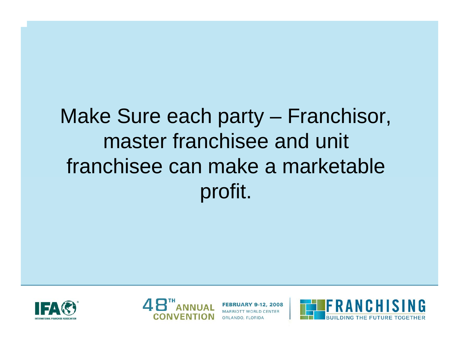## Make Sure each party – Franchisor, master franchisee and unit franchisee can make a marketable profit.





 $Y$  9-12, 2008 ORLANDO, FLORIDA

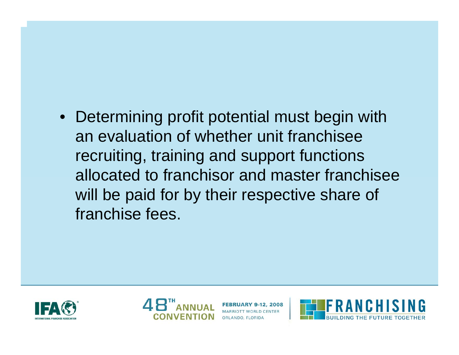#### • Determining profit potential must begin with an evaluation of whether unit franchisee recruiting, training and support functions allocated to franchisor and master franchisee will be paid for by their respective share of franchise fees.





9-12, 2008 ORLANDO, FLORIDA

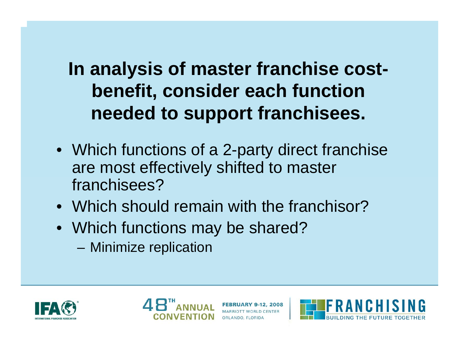### **In analysis of master franchise costbenefit, consider each function needed to support franchisees.**

- Which functions of a 2-party direct franchise are most effectively shifted to master franchisees?
- •Which should remain with the franchisor?
- Which functions may be shared?
	- Minimize replication





ORLANDO, FLORIDA

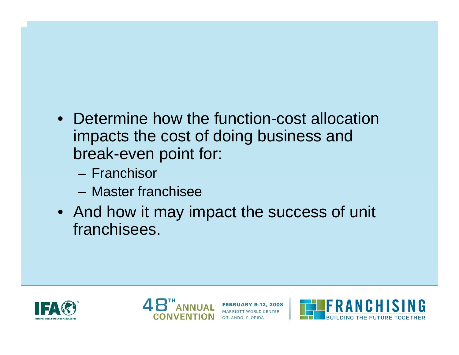#### • Determine how the function-cost allocation impacts the cost of doing business and break-even point for:

- Franchisor
- Master franchisee
- And how it may impact the success of unit franchisees.





3Y 9-12, 2008 ORLANDO, FLORIDA

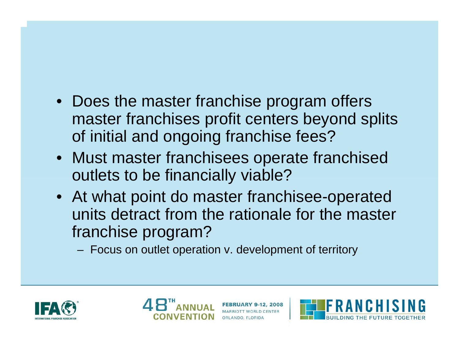#### • Does the master franchise program offers master franchises profit centers beyond splits of initial and ongoing franchise fees?

- Must master franchisees operate franchised outlets to be financially viable?
- At what point do master franchisee-operated units detract from the rationale for the master franchise program?
	- Focus on outlet operation v. development of territory





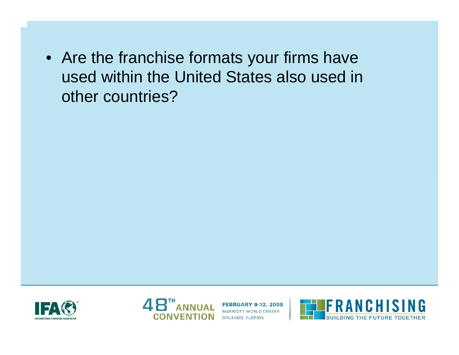• Are the franchise formats your firms have used within the United States also used in other countries?





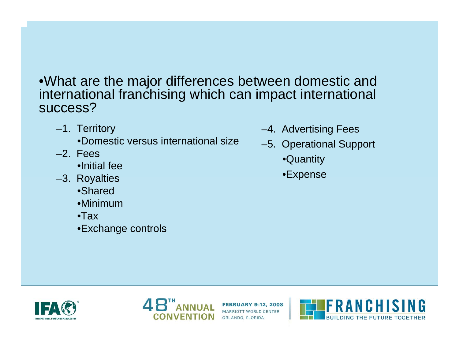•What are the major differences between domestic and international franchising which can impact international success?

–1. Territory

•Domestic versus international size

- –2. Fees
	- •Initial fee
- –3. Royalties
	- •Shared
	- •Minimum
	- •Tax
	- •Exchange controls
- –4. Advertising Fees
- –5. Operational Support
	- •Quantity
	- •Expense





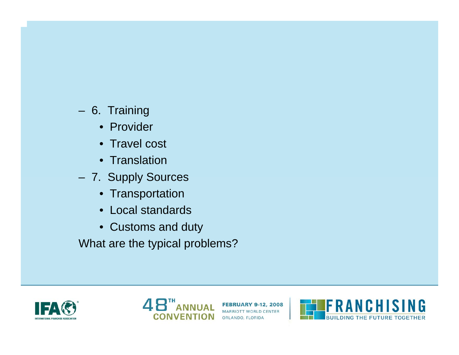- 6. Training
	- Provider
	- Travel cost
	- Translation
- 7. Supply Sources
	- Transportation
	- Local standards
	- Customs and duty

What are the typical problems?





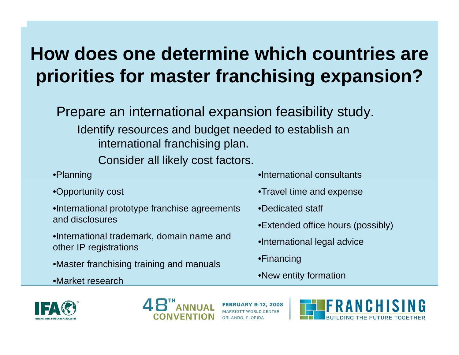Prepare an international expansion feasibility study. Identify resources and budget needed to establish an international franchising plan.

Consider all likely cost factors.

- •Planning
- •Opportunity cost
- •International prototype franchise agreements and disclosures
- •International trademark, domain name and other IP registrations
- •Master franchising training and manuals
- •Market research
- •International consultants
- •Travel time and expense
- •Dedicated staff
- •Extended office hours (possibly)
- •International legal advice
- •Financing
- •New entity for mation





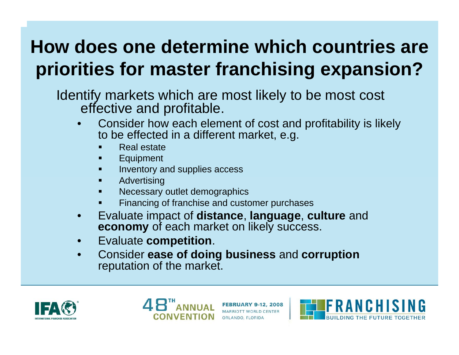Identify markets which are most likely to be most cost effective and profitable.

- •Consider how each element of cost and profitability is likely to be effected in a different market, e.g.
	- Real estate
	- ĸ Equipment
	- Inventory and supplies access
	- Advertising
	- ĸ Necessary outlet demographics
	- Financing of franchise and customer purchases
- •E v alu a te impact of **distance**, **language**, **culture** and **economy** of each market on likely success.
- •Evaluate **competition**.
- •Consider **ease of doing business** and **corruption** reputation of the market.





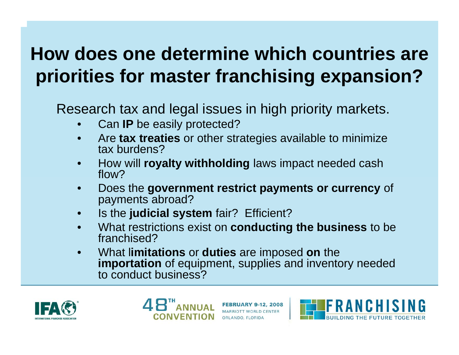Research tax and legal issues in high priority markets.

- •C a n **IP** be easily protected?
- •Are **tax treaties** or other strategies available to minimize tax burdens?
- •How will **royalty withholding** law s impact needed cash flow?
- •Does the **government restrict payments or currency** of payments abroad?
- •I s t h e **judicial system** fair? Efficient?
- •What restrictions exist on **conducting the business** to be franchised?
- •What l**imitations** or **duties** are imposed **on** the **importation** of equipment, supplies and inventory needed to conduct business?





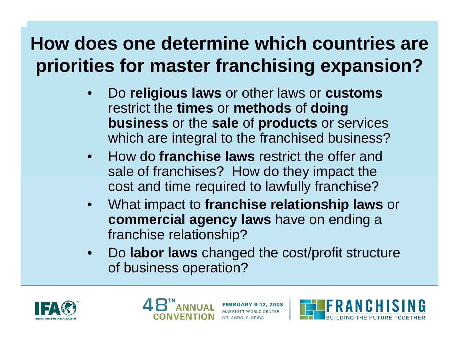- • D o **religious laws** or other laws or **customs** restrict the **times** or **methods** of **doing business** or the **sale** of **products** or services which are integral to the franchised business?
- • How do **franchise laws** restrict the offer and sale of franchises? How do they impact the cost and time required to lawfully franchise?
- •What impact to **franchise relationship laws** or **commercial agency laws** have on ending a franchise relationship?
- • D o **labor laws** changed the cost/profit structure of business operation?





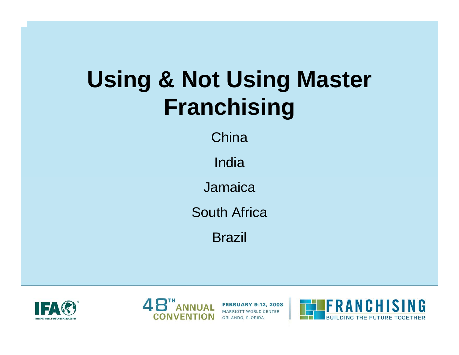# **Using & Not Using Master Franchising**

**China** 

India

Jamaica

South Africa

Brazil





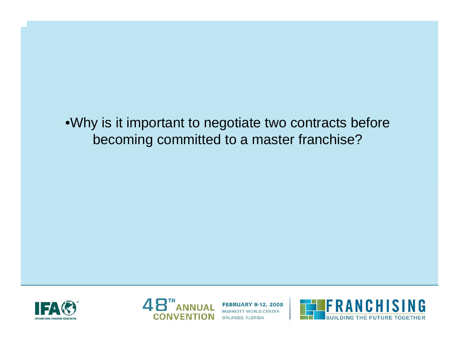•Why is it important to negotiate two contracts before becoming committed to a master franchise?





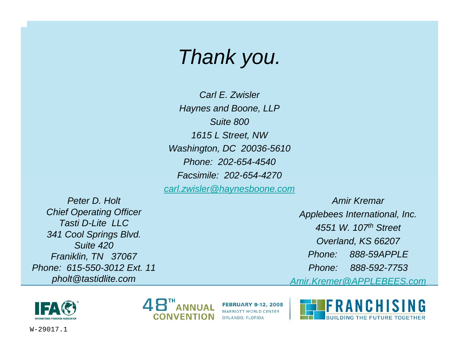## *Thank you.*

*Carl E. ZwislerHaynes and Boone, LLP Suite 8001615 L Street, NW Washington, DC 20036-5610 Phone: 202-654-4540Facsimile: 202-654-4270carl.zwisler@haynesboone.com*

*Peter D. HoltChief Operating Officer Tasti D-Lite LLC341 Cool Springs Blvd. Suite 420Franiklin, TN 37067 Phone: 615-550-3012 Ext. 11pholt@tastidlite.com*

*Amir KremarApplebees International, Inc. 4551 W. 107th Street Overland, KS 66207 Phone: 888-59APPLEPhone: 888-592-7753Amir.Kremer@APPLEBEES.com*